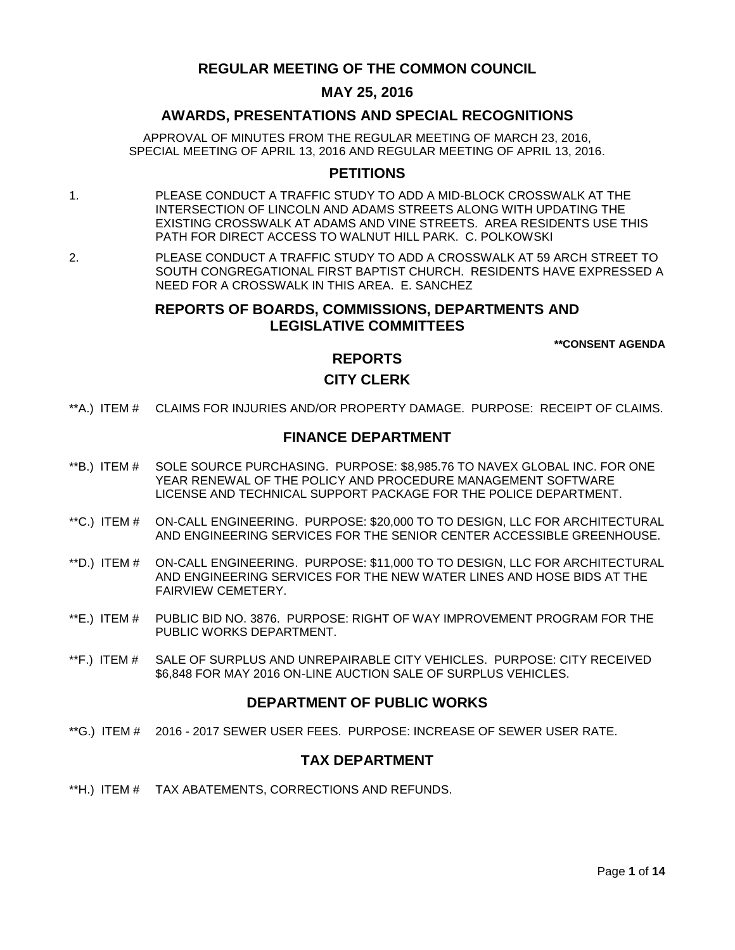# **REGULAR MEETING OF THE COMMON COUNCIL**

## **MAY 25, 2016**

## **AWARDS, PRESENTATIONS AND SPECIAL RECOGNITIONS**

APPROVAL OF MINUTES FROM THE REGULAR MEETING OF MARCH 23, 2016, SPECIAL MEETING OF APRIL 13, 2016 AND REGULAR MEETING OF APRIL 13, 2016.

### **PETITIONS**

- 1. PLEASE CONDUCT A TRAFFIC STUDY TO ADD A MID-BLOCK CROSSWALK AT THE INTERSECTION OF LINCOLN AND ADAMS STREETS ALONG WITH UPDATING THE EXISTING CROSSWALK AT ADAMS AND VINE STREETS. AREA RESIDENTS USE THIS PATH FOR DIRECT ACCESS TO WALNUT HILL PARK. C. POLKOWSKI
- 2. PLEASE CONDUCT A TRAFFIC STUDY TO ADD A CROSSWALK AT 59 ARCH STREET TO SOUTH CONGREGATIONAL FIRST BAPTIST CHURCH. RESIDENTS HAVE EXPRESSED A NEED FOR A CROSSWALK IN THIS AREA. E. SANCHEZ

## **REPORTS OF BOARDS, COMMISSIONS, DEPARTMENTS AND LEGISLATIVE COMMITTEES**

**\*\*CONSENT AGENDA**

# **REPORTS**

### **CITY CLERK**

\*\*A.) ITEM # [CLAIMS FOR INJURIES AND/OR PROPERTY DAMAGE. PURPOSE: RECEIPT OF CLAIMS.](#page-2-0)

### **FINANCE DEPARTMENT**

- \*\*B.) ITEM # [SOLE SOURCE PURCHASING. PURPOSE: \\$8,985.76 TO NAVEX GLOBAL INC. FOR ONE](#page-2-1)  [YEAR RENEWAL OF THE POLICY AND PROCEDURE MANAGEMENT SOFTWARE](#page-2-1)  [LICENSE AND TECHNICAL SUPPORT PACKAGE FOR THE POLICE DEPARTMENT.](#page-2-1)
- \*\*C.) ITEM # [ON-CALL ENGINEERING. PURPOSE: \\$20,000 TO TO DESIGN, LLC FOR ARCHITECTURAL](#page-3-0)  [AND ENGINEERING SERVICES FOR THE SENIOR CENTER ACCESSIBLE GREENHOUSE.](#page-3-0)
- \*\*D.) ITEM # [ON-CALL ENGINEERING. PURPOSE: \\$11,000 TO TO DESIGN, LLC FOR ARCHITECTURAL](#page-4-0)  [AND ENGINEERING SERVICES FOR THE NEW WATER LINES AND HOSE BIDS AT THE](#page-4-0)  [FAIRVIEW CEMETERY.](#page-4-0)
- \*\*E.) ITEM # [PUBLIC BID NO. 3876. PURPOSE: RIGHT OF WAY IMPROVEMENT PROGRAM FOR THE](#page-4-1)  [PUBLIC WORKS DEPARTMENT.](#page-4-1)
- \*\*F.) ITEM # [SALE OF SURPLUS AND UNREPAIRABLE CITY VEHICLES. PURPOSE: CITY RECEIVED](#page-5-0)  [\\$6,848 FOR MAY 2016 ON-LINE AUCTION SALE OF SURPLUS VEHICLES.](#page-5-0)

## **DEPARTMENT OF PUBLIC WORKS**

\*\*G.) ITEM # 2016 - [2017 SEWER USER FEES. PURPOSE: INCREASE OF SEWER USER RATE.](#page-6-0)

### **TAX DEPARTMENT**

\*\*H.) ITEM # [TAX ABATEMENTS, CORRECTIONS AND REFUNDS.](#page-6-1)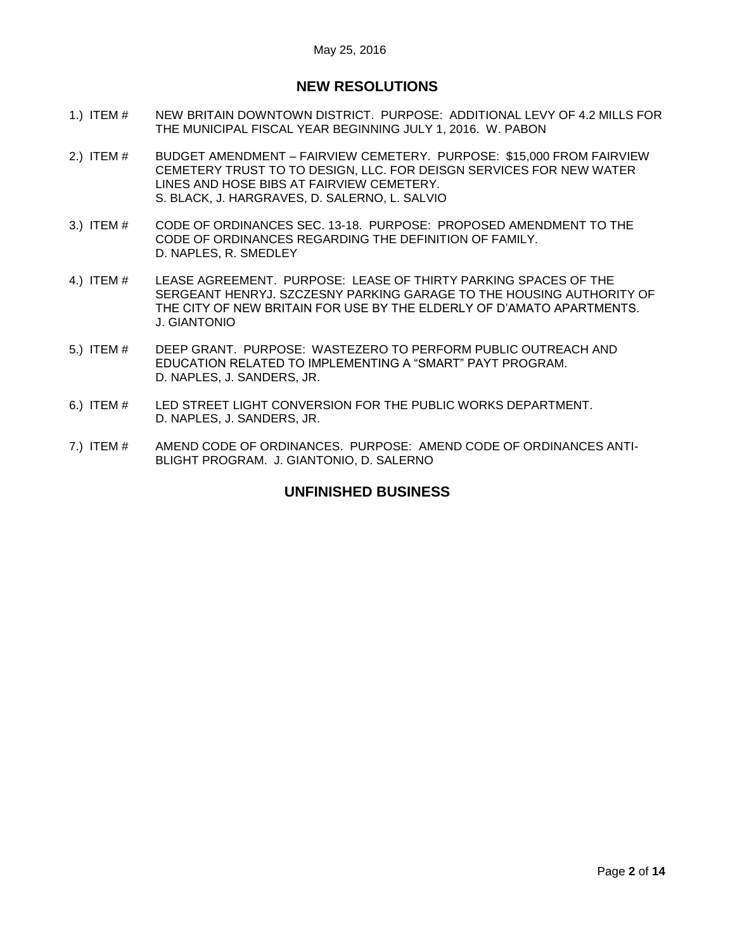# **NEW RESOLUTIONS**

- 1.) ITEM # [NEW BRITAIN DOWNTOWN DISTRICT. PURPOSE: ADDITIONAL LEVY OF 4.2 MILLS FOR](#page-6-2)  [THE MUNICIPAL FISCAL YEAR BEGINNING JULY 1, 2016. W. PABON](#page-6-2)
- 2.) ITEM # BUDGET AMENDMENT [FAIRVIEW CEMETERY. PURPOSE: \\$15,000 FROM FAIRVIEW](#page-7-0)  [CEMETERY TRUST TO TO DESIGN, LLC. FOR DEISGN SERVICES FOR NEW WATER](#page-7-0)  [LINES AND HOSE BIBS AT FAIRVIEW CEMETERY.](#page-7-0) [S. BLACK, J. HARGRAVES, D. SALERNO, L. SALVIO](#page-7-0)
- 3.) ITEM # [CODE OF ORDINANCES SEC. 13-18. PURPOSE: PROPOSED AMENDMENT TO THE](#page-8-0)  [CODE OF ORDINANCES REGARDING THE DEFINITION OF FAMILY.](#page-8-0)  [D. NAPLES, R. SMEDLEY](#page-8-0)
- 4.) ITEM # [LEASE AGREEMENT. PURPOSE: LEASE OF THIRTY PARKING SPACES OF THE](#page-12-0)  [SERGEANT HENRYJ. SZCZESNY PARKING GARAGE TO THE](#page-12-0) HOUSING AUTHORITY OF [THE CITY OF NEW BRITAIN FOR USE BY THE ELDERLY OF D'AMATO APARTMENTS.](#page-12-0) [J. GIANTONIO](#page-12-0)
- 5.) ITEM # [DEEP GRANT. PURPOSE: WASTEZERO TO PERFORM PUBLIC OUTREACH AND](#page-12-1)  [EDUCATION RELATED TO IMPLEMENTING A "SMART" PAYT PROGRAM.](#page-12-1) [D. NAPLES, J. SANDERS, JR.](#page-12-1)
- 6.) ITEM # [LED STREET LIGHT CONVERSION FOR THE PUBLIC WORKS DEPARTMENT.](#page-13-0) [D. NAPLES, J. SANDERS, JR.](#page-13-0)
- 7.) ITEM # [AMEND CODE OF ORDINANCES. PURPOSE: AMEND CODE OF ORDINANCES ANTI-](#page-13-1)[BLIGHT PROGRAM. J. GIANTONIO, D. SALERNO](#page-13-1)

# **UNFINISHED BUSINESS**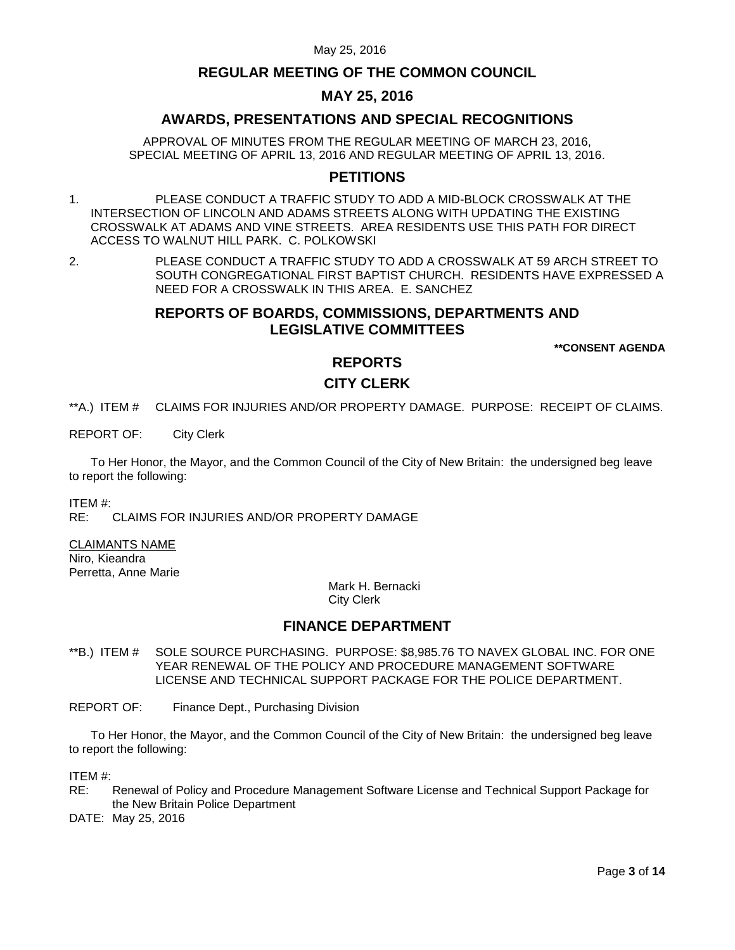## **REGULAR MEETING OF THE COMMON COUNCIL**

## **MAY 25, 2016**

## **AWARDS, PRESENTATIONS AND SPECIAL RECOGNITIONS**

APPROVAL OF MINUTES FROM THE REGULAR MEETING OF MARCH 23, 2016, SPECIAL MEETING OF APRIL 13, 2016 AND REGULAR MEETING OF APRIL 13, 2016.

### **PETITIONS**

- 1. PLEASE CONDUCT A TRAFFIC STUDY TO ADD A MID-BLOCK CROSSWALK AT THE INTERSECTION OF LINCOLN AND ADAMS STREETS ALONG WITH UPDATING THE EXISTING CROSSWALK AT ADAMS AND VINE STREETS. AREA RESIDENTS USE THIS PATH FOR DIRECT ACCESS TO WALNUT HILL PARK. C. POLKOWSKI
- 2. PLEASE CONDUCT A TRAFFIC STUDY TO ADD A CROSSWALK AT 59 ARCH STREET TO SOUTH CONGREGATIONAL FIRST BAPTIST CHURCH. RESIDENTS HAVE EXPRESSED A NEED FOR A CROSSWALK IN THIS AREA. E. SANCHEZ

## **REPORTS OF BOARDS, COMMISSIONS, DEPARTMENTS AND LEGISLATIVE COMMITTEES**

**\*\*CONSENT AGENDA**

# **REPORTS**

## **CITY CLERK**

- <span id="page-2-0"></span>\*\*A.) ITEM # CLAIMS FOR INJURIES AND/OR PROPERTY DAMAGE. PURPOSE: RECEIPT OF CLAIMS.
- REPORT OF: City Clerk

To Her Honor, the Mayor, and the Common Council of the City of New Britain: the undersigned beg leave to report the following:

ITEM #:

RE: CLAIMS FOR INJURIES AND/OR PROPERTY DAMAGE

CLAIMANTS NAME Niro, Kieandra

Perretta, Anne Marie

Mark H. Bernacki City Clerk

### **FINANCE DEPARTMENT**

- <span id="page-2-1"></span>\*\*B.) ITEM # SOLE SOURCE PURCHASING. PURPOSE: \$8,985.76 TO NAVEX GLOBAL INC. FOR ONE YEAR RENEWAL OF THE POLICY AND PROCEDURE MANAGEMENT SOFTWARE LICENSE AND TECHNICAL SUPPORT PACKAGE FOR THE POLICE DEPARTMENT.
- REPORT OF: Finance Dept., Purchasing Division

To Her Honor, the Mayor, and the Common Council of the City of New Britain: the undersigned beg leave to report the following:

ITEM #:

RE: Renewal of Policy and Procedure Management Software License and Technical Support Package for the New Britain Police Department

DATE: May 25, 2016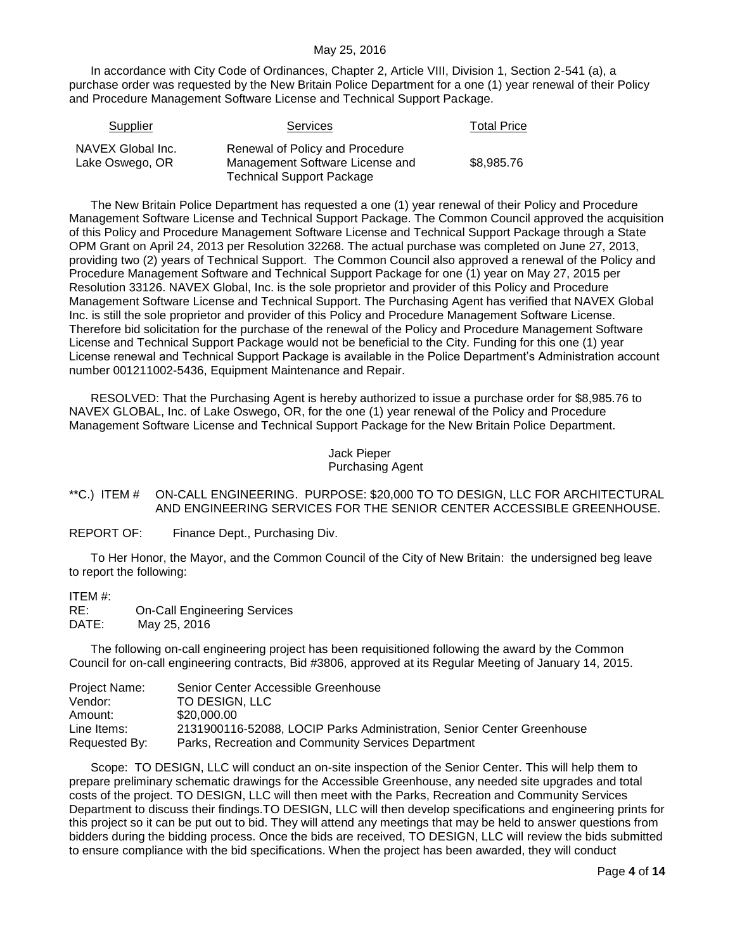In accordance with City Code of Ordinances, Chapter 2, Article VIII, Division 1, Section 2-541 (a), a purchase order was requested by the New Britain Police Department for a one (1) year renewal of their Policy and Procedure Management Software License and Technical Support Package.

| Supplier                             | <b>Services</b>                                                                                        | Total Price |
|--------------------------------------|--------------------------------------------------------------------------------------------------------|-------------|
| NAVEX Global Inc.<br>Lake Oswego, OR | Renewal of Policy and Procedure<br>Management Software License and<br><b>Technical Support Package</b> | \$8.985.76  |

The New Britain Police Department has requested a one (1) year renewal of their Policy and Procedure Management Software License and Technical Support Package. The Common Council approved the acquisition of this Policy and Procedure Management Software License and Technical Support Package through a State OPM Grant on April 24, 2013 per Resolution 32268. The actual purchase was completed on June 27, 2013, providing two (2) years of Technical Support. The Common Council also approved a renewal of the Policy and Procedure Management Software and Technical Support Package for one (1) year on May 27, 2015 per Resolution 33126. NAVEX Global, Inc. is the sole proprietor and provider of this Policy and Procedure Management Software License and Technical Support. The Purchasing Agent has verified that NAVEX Global Inc. is still the sole proprietor and provider of this Policy and Procedure Management Software License. Therefore bid solicitation for the purchase of the renewal of the Policy and Procedure Management Software License and Technical Support Package would not be beneficial to the City. Funding for this one (1) year License renewal and Technical Support Package is available in the Police Department's Administration account number 001211002-5436, Equipment Maintenance and Repair.

RESOLVED: That the Purchasing Agent is hereby authorized to issue a purchase order for \$8,985.76 to NAVEX GLOBAL, Inc. of Lake Oswego, OR, for the one (1) year renewal of the Policy and Procedure Management Software License and Technical Support Package for the New Britain Police Department.

> Jack Pieper Purchasing Agent

### <span id="page-3-0"></span>\*\*C.) ITEM # ON-CALL ENGINEERING. PURPOSE: \$20,000 TO TO DESIGN, LLC FOR ARCHITECTURAL AND ENGINEERING SERVICES FOR THE SENIOR CENTER ACCESSIBLE GREENHOUSE.

REPORT OF: Finance Dept., Purchasing Div.

To Her Honor, the Mayor, and the Common Council of the City of New Britain: the undersigned beg leave to report the following:

ITEM #: RE: On-Call Engineering Services DATE: May 25, 2016

The following on-call engineering project has been requisitioned following the award by the Common Council for on-call engineering contracts, Bid #3806, approved at its Regular Meeting of January 14, 2015.

| Project Name: | Senior Center Accessible Greenhouse                                    |
|---------------|------------------------------------------------------------------------|
| Vendor:       | TO DESIGN. LLC                                                         |
| Amount:       | \$20,000,00                                                            |
| Line Items:   | 2131900116-52088, LOCIP Parks Administration, Senior Center Greenhouse |
| Requested By: | Parks, Recreation and Community Services Department                    |

Scope: TO DESIGN, LLC will conduct an on-site inspection of the Senior Center. This will help them to prepare preliminary schematic drawings for the Accessible Greenhouse, any needed site upgrades and total costs of the project. TO DESIGN, LLC will then meet with the Parks, Recreation and Community Services Department to discuss their findings.TO DESIGN, LLC will then develop specifications and engineering prints for this project so it can be put out to bid. They will attend any meetings that may be held to answer questions from bidders during the bidding process. Once the bids are received, TO DESIGN, LLC will review the bids submitted to ensure compliance with the bid specifications. When the project has been awarded, they will conduct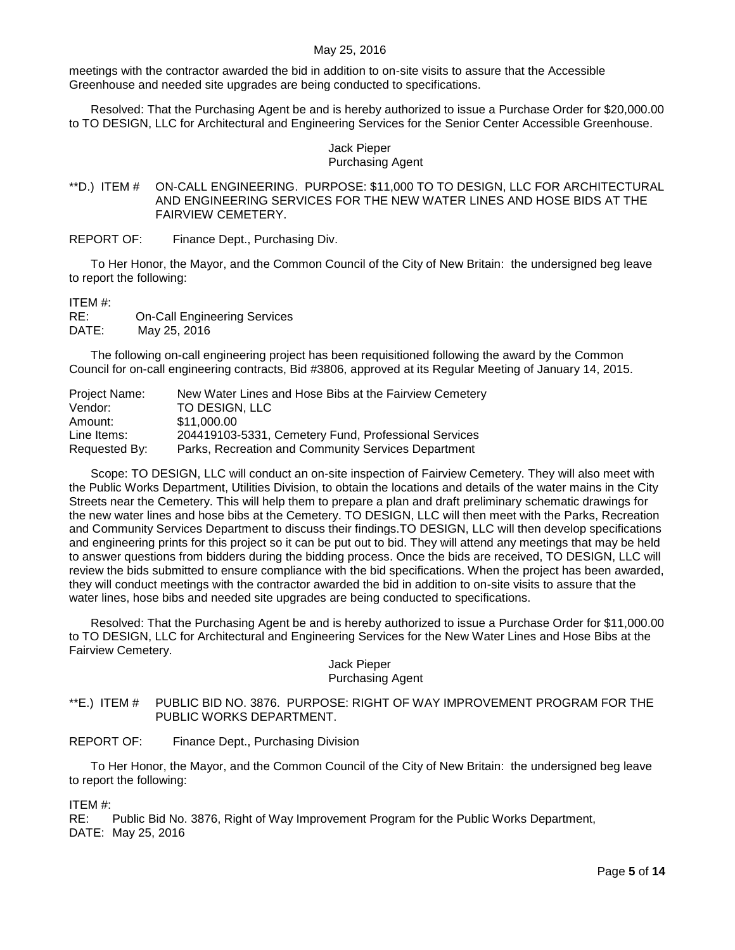meetings with the contractor awarded the bid in addition to on-site visits to assure that the Accessible Greenhouse and needed site upgrades are being conducted to specifications.

Resolved: That the Purchasing Agent be and is hereby authorized to issue a Purchase Order for \$20,000.00 to TO DESIGN, LLC for Architectural and Engineering Services for the Senior Center Accessible Greenhouse.

### Jack Pieper Purchasing Agent

### <span id="page-4-0"></span>\*\*D.) ITEM # ON-CALL ENGINEERING. PURPOSE: \$11,000 TO TO DESIGN, LLC FOR ARCHITECTURAL AND ENGINEERING SERVICES FOR THE NEW WATER LINES AND HOSE BIDS AT THE FAIRVIEW CEMETERY.

REPORT OF: Finance Dept., Purchasing Div.

To Her Honor, the Mayor, and the Common Council of the City of New Britain: the undersigned beg leave to report the following:

#### ITEM #:

RE: On-Call Engineering Services DATE: May 25, 2016

The following on-call engineering project has been requisitioned following the award by the Common Council for on-call engineering contracts, Bid #3806, approved at its Regular Meeting of January 14, 2015.

| Project Name: | New Water Lines and Hose Bibs at the Fairview Cemetery |
|---------------|--------------------------------------------------------|
| Vendor:       | TO DESIGN, LLC                                         |
| Amount:       | \$11,000.00                                            |
| Line Items:   | 204419103-5331, Cemetery Fund, Professional Services   |
| Requested By: | Parks, Recreation and Community Services Department    |

Scope: TO DESIGN, LLC will conduct an on-site inspection of Fairview Cemetery. They will also meet with the Public Works Department, Utilities Division, to obtain the locations and details of the water mains in the City Streets near the Cemetery. This will help them to prepare a plan and draft preliminary schematic drawings for the new water lines and hose bibs at the Cemetery. TO DESIGN, LLC will then meet with the Parks, Recreation and Community Services Department to discuss their findings.TO DESIGN, LLC will then develop specifications and engineering prints for this project so it can be put out to bid. They will attend any meetings that may be held to answer questions from bidders during the bidding process. Once the bids are received, TO DESIGN, LLC will review the bids submitted to ensure compliance with the bid specifications. When the project has been awarded, they will conduct meetings with the contractor awarded the bid in addition to on-site visits to assure that the water lines, hose bibs and needed site upgrades are being conducted to specifications.

Resolved: That the Purchasing Agent be and is hereby authorized to issue a Purchase Order for \$11,000.00 to TO DESIGN, LLC for Architectural and Engineering Services for the New Water Lines and Hose Bibs at the Fairview Cemetery.

#### Jack Pieper Purchasing Agent

<span id="page-4-1"></span>\*\*E.) ITEM # PUBLIC BID NO. 3876. PURPOSE: RIGHT OF WAY IMPROVEMENT PROGRAM FOR THE PUBLIC WORKS DEPARTMENT.

REPORT OF: Finance Dept., Purchasing Division

To Her Honor, the Mayor, and the Common Council of the City of New Britain: the undersigned beg leave to report the following:

ITEM #:

RE: Public Bid No. 3876, Right of Way Improvement Program for the Public Works Department, DATE: May 25, 2016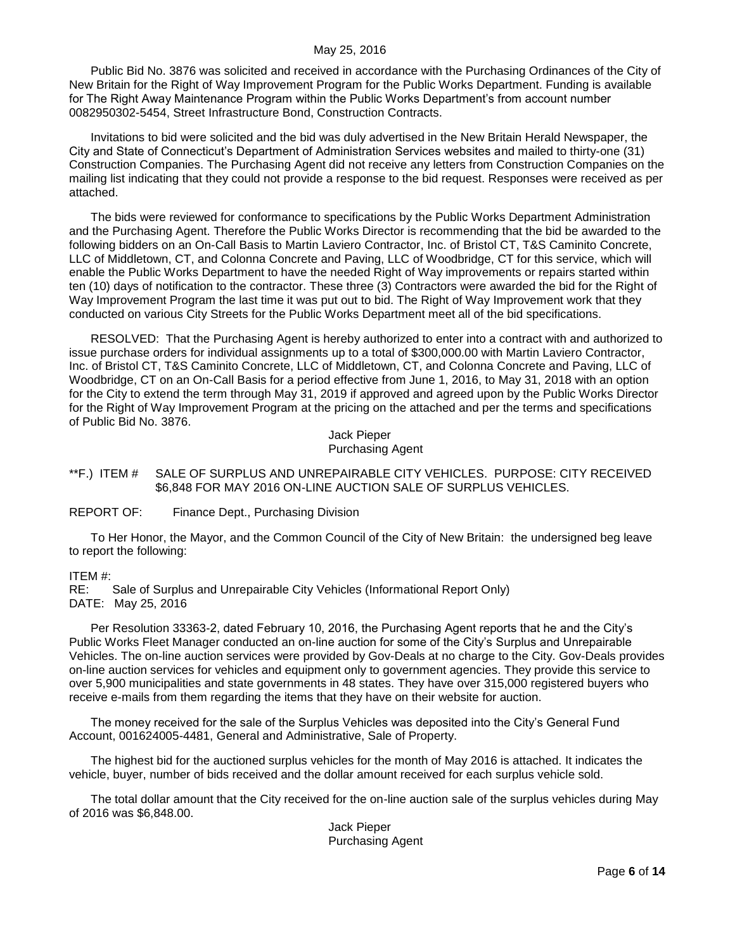Public Bid No. 3876 was solicited and received in accordance with the Purchasing Ordinances of the City of New Britain for the Right of Way Improvement Program for the Public Works Department. Funding is available for The Right Away Maintenance Program within the Public Works Department's from account number 0082950302-5454, Street Infrastructure Bond, Construction Contracts.

Invitations to bid were solicited and the bid was duly advertised in the New Britain Herald Newspaper, the City and State of Connecticut's Department of Administration Services websites and mailed to thirty-one (31) Construction Companies. The Purchasing Agent did not receive any letters from Construction Companies on the mailing list indicating that they could not provide a response to the bid request. Responses were received as per attached.

The bids were reviewed for conformance to specifications by the Public Works Department Administration and the Purchasing Agent. Therefore the Public Works Director is recommending that the bid be awarded to the following bidders on an On-Call Basis to Martin Laviero Contractor, Inc. of Bristol CT, T&S Caminito Concrete, LLC of Middletown, CT, and Colonna Concrete and Paving, LLC of Woodbridge, CT for this service, which will enable the Public Works Department to have the needed Right of Way improvements or repairs started within ten (10) days of notification to the contractor. These three (3) Contractors were awarded the bid for the Right of Way Improvement Program the last time it was put out to bid. The Right of Way Improvement work that they conducted on various City Streets for the Public Works Department meet all of the bid specifications.

RESOLVED: That the Purchasing Agent is hereby authorized to enter into a contract with and authorized to issue purchase orders for individual assignments up to a total of \$300,000.00 with Martin Laviero Contractor, Inc. of Bristol CT, T&S Caminito Concrete, LLC of Middletown, CT, and Colonna Concrete and Paving, LLC of Woodbridge, CT on an On-Call Basis for a period effective from June 1, 2016, to May 31, 2018 with an option for the City to extend the term through May 31, 2019 if approved and agreed upon by the Public Works Director for the Right of Way Improvement Program at the pricing on the attached and per the terms and specifications of Public Bid No. 3876.

> Jack Pieper Purchasing Agent

<span id="page-5-0"></span>\*\*F.) ITEM # SALE OF SURPLUS AND UNREPAIRABLE CITY VEHICLES. PURPOSE: CITY RECEIVED \$6,848 FOR MAY 2016 ON-LINE AUCTION SALE OF SURPLUS VEHICLES.

REPORT OF: Finance Dept., Purchasing Division

To Her Honor, the Mayor, and the Common Council of the City of New Britain: the undersigned beg leave to report the following:

ITEM #:

RE: Sale of Surplus and Unrepairable City Vehicles (Informational Report Only) DATE: May 25, 2016

Per Resolution 33363-2, dated February 10, 2016, the Purchasing Agent reports that he and the City's Public Works Fleet Manager conducted an on-line auction for some of the City's Surplus and Unrepairable Vehicles. The on-line auction services were provided by Gov-Deals at no charge to the City. Gov-Deals provides on-line auction services for vehicles and equipment only to government agencies. They provide this service to over 5,900 municipalities and state governments in 48 states. They have over 315,000 registered buyers who receive e-mails from them regarding the items that they have on their website for auction.

The money received for the sale of the Surplus Vehicles was deposited into the City's General Fund Account, 001624005-4481, General and Administrative, Sale of Property.

The highest bid for the auctioned surplus vehicles for the month of May 2016 is attached. It indicates the vehicle, buyer, number of bids received and the dollar amount received for each surplus vehicle sold.

The total dollar amount that the City received for the on-line auction sale of the surplus vehicles during May of 2016 was \$6,848.00.

> Jack Pieper Purchasing Agent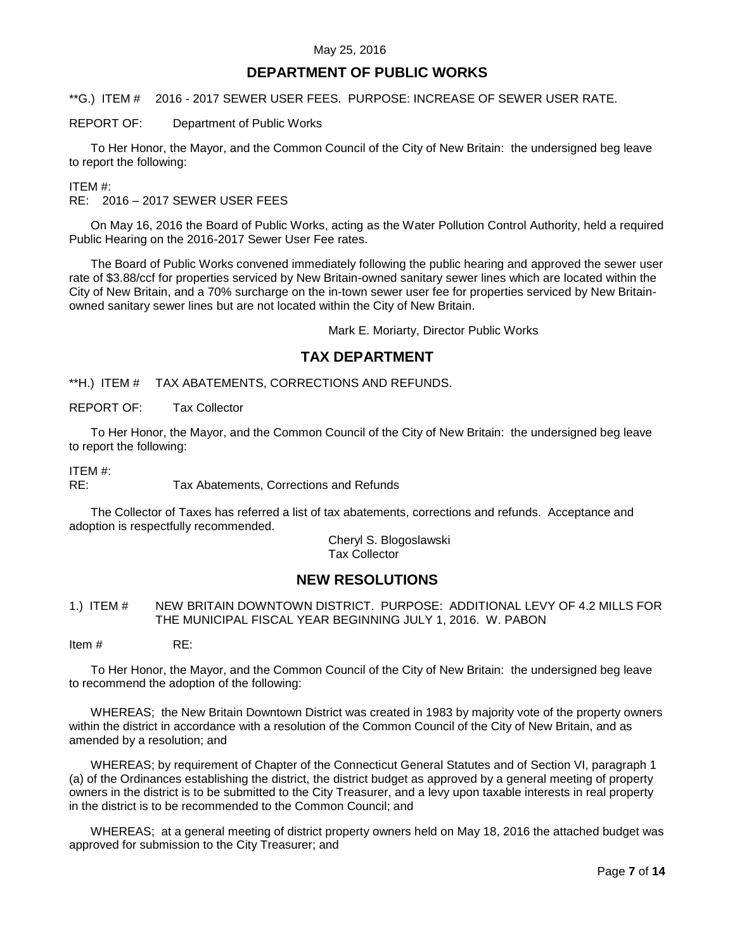## **DEPARTMENT OF PUBLIC WORKS**

<span id="page-6-0"></span>\*\*G.) ITEM # 2016 - 2017 SEWER USER FEES. PURPOSE: INCREASE OF SEWER USER RATE.

REPORT OF: Department of Public Works

To Her Honor, the Mayor, and the Common Council of the City of New Britain: the undersigned beg leave to report the following:

ITEM #:

RE: 2016 – 2017 SEWER USER FEES

On May 16, 2016 the Board of Public Works, acting as the Water Pollution Control Authority, held a required Public Hearing on the 2016-2017 Sewer User Fee rates.

The Board of Public Works convened immediately following the public hearing and approved the sewer user rate of \$3.88/ccf for properties serviced by New Britain-owned sanitary sewer lines which are located within the City of New Britain, and a 70% surcharge on the in-town sewer user fee for properties serviced by New Britainowned sanitary sewer lines but are not located within the City of New Britain.

Mark E. Moriarty, Director Public Works

# **TAX DEPARTMENT**

<span id="page-6-1"></span>\*\*H.) ITEM # TAX ABATEMENTS, CORRECTIONS AND REFUNDS.

REPORT OF: Tax Collector

To Her Honor, the Mayor, and the Common Council of the City of New Britain: the undersigned beg leave to report the following:

ITEM #:

RE: Tax Abatements, Corrections and Refunds

The Collector of Taxes has referred a list of tax abatements, corrections and refunds. Acceptance and adoption is respectfully recommended.

> Cheryl S. Blogoslawski Tax Collector

# **NEW RESOLUTIONS**

<span id="page-6-2"></span>1.) ITEM # NEW BRITAIN DOWNTOWN DISTRICT. PURPOSE: ADDITIONAL LEVY OF 4.2 MILLS FOR THE MUNICIPAL FISCAL YEAR BEGINNING JULY 1, 2016. W. PABON

Item # RE:

To Her Honor, the Mayor, and the Common Council of the City of New Britain: the undersigned beg leave to recommend the adoption of the following:

WHEREAS; the New Britain Downtown District was created in 1983 by majority vote of the property owners within the district in accordance with a resolution of the Common Council of the City of New Britain, and as amended by a resolution; and

WHEREAS; by requirement of Chapter of the Connecticut General Statutes and of Section VI, paragraph 1 (a) of the Ordinances establishing the district, the district budget as approved by a general meeting of property owners in the district is to be submitted to the City Treasurer, and a levy upon taxable interests in real property in the district is to be recommended to the Common Council; and

WHEREAS; at a general meeting of district property owners held on May 18, 2016 the attached budget was approved for submission to the City Treasurer; and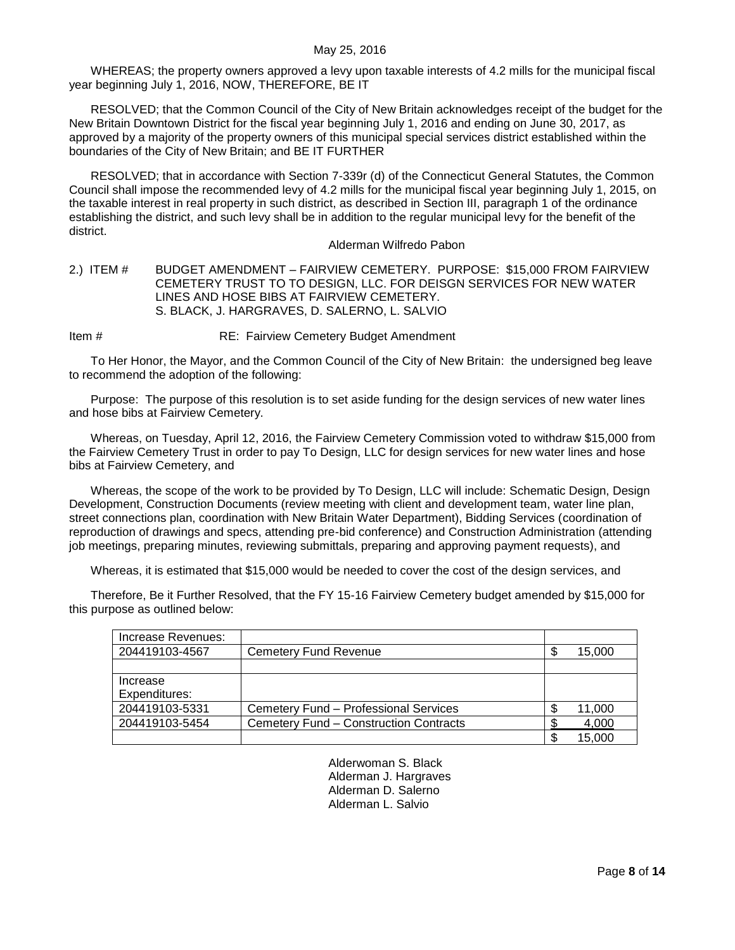WHEREAS; the property owners approved a levy upon taxable interests of 4.2 mills for the municipal fiscal year beginning July 1, 2016, NOW, THEREFORE, BE IT

RESOLVED; that the Common Council of the City of New Britain acknowledges receipt of the budget for the New Britain Downtown District for the fiscal year beginning July 1, 2016 and ending on June 30, 2017, as approved by a majority of the property owners of this municipal special services district established within the boundaries of the City of New Britain; and BE IT FURTHER

RESOLVED; that in accordance with Section 7-339r (d) of the Connecticut General Statutes, the Common Council shall impose the recommended levy of 4.2 mills for the municipal fiscal year beginning July 1, 2015, on the taxable interest in real property in such district, as described in Section III, paragraph 1 of the ordinance establishing the district, and such levy shall be in addition to the regular municipal levy for the benefit of the district.

### Alderman Wilfredo Pabon

### <span id="page-7-0"></span>2.) ITEM # BUDGET AMENDMENT – FAIRVIEW CEMETERY. PURPOSE: \$15,000 FROM FAIRVIEW CEMETERY TRUST TO TO DESIGN, LLC. FOR DEISGN SERVICES FOR NEW WATER LINES AND HOSE BIBS AT FAIRVIEW CEMETERY. S. BLACK, J. HARGRAVES, D. SALERNO, L. SALVIO

Item # RE: Fairview Cemetery Budget Amendment

To Her Honor, the Mayor, and the Common Council of the City of New Britain: the undersigned beg leave to recommend the adoption of the following:

Purpose: The purpose of this resolution is to set aside funding for the design services of new water lines and hose bibs at Fairview Cemetery.

Whereas, on Tuesday, April 12, 2016, the Fairview Cemetery Commission voted to withdraw \$15,000 from the Fairview Cemetery Trust in order to pay To Design, LLC for design services for new water lines and hose bibs at Fairview Cemetery, and

Whereas, the scope of the work to be provided by To Design, LLC will include: Schematic Design, Design Development, Construction Documents (review meeting with client and development team, water line plan, street connections plan, coordination with New Britain Water Department), Bidding Services (coordination of reproduction of drawings and specs, attending pre-bid conference) and Construction Administration (attending job meetings, preparing minutes, reviewing submittals, preparing and approving payment requests), and

Whereas, it is estimated that \$15,000 would be needed to cover the cost of the design services, and

Therefore, Be it Further Resolved, that the FY 15-16 Fairview Cemetery budget amended by \$15,000 for this purpose as outlined below:

| Increase Revenues: |                                        |   |        |
|--------------------|----------------------------------------|---|--------|
| 204419103-4567     | Cemetery Fund Revenue                  | ጥ | 15,000 |
|                    |                                        |   |        |
| Increase           |                                        |   |        |
| Expenditures:      |                                        |   |        |
| 204419103-5331     | Cemetery Fund - Professional Services  |   | 11,000 |
| 204419103-5454     | Cemetery Fund - Construction Contracts |   | 4,000  |
|                    |                                        | œ | 15.000 |

Alderwoman S. Black Alderman J. Hargraves Alderman D. Salerno Alderman L. Salvio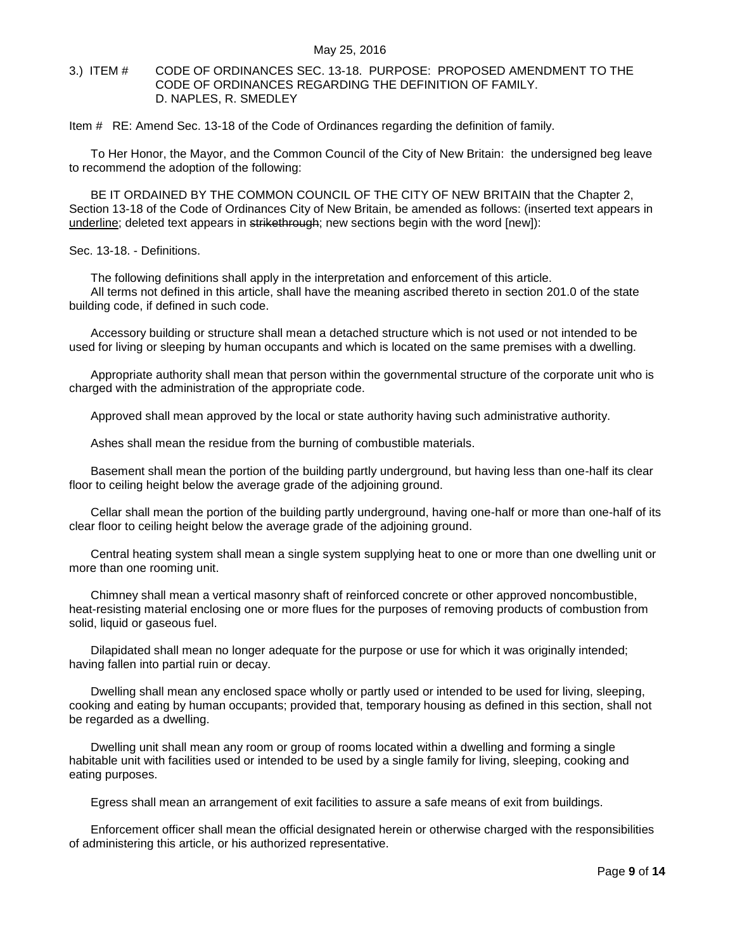### <span id="page-8-0"></span>3.) ITEM # CODE OF ORDINANCES SEC. 13-18. PURPOSE: PROPOSED AMENDMENT TO THE CODE OF ORDINANCES REGARDING THE DEFINITION OF FAMILY. D. NAPLES, R. SMEDLEY

Item # RE: Amend Sec. 13-18 of the Code of Ordinances regarding the definition of family.

To Her Honor, the Mayor, and the Common Council of the City of New Britain: the undersigned beg leave to recommend the adoption of the following:

BE IT ORDAINED BY THE COMMON COUNCIL OF THE CITY OF NEW BRITAIN that the Chapter 2, Section 13-18 of the Code of Ordinances City of New Britain, be amended as follows: (inserted text appears in underline; deleted text appears in strikethrough; new sections begin with the word [new]):

Sec. 13-18. - Definitions.

The following definitions shall apply in the interpretation and enforcement of this article. All terms not defined in this article, shall have the meaning ascribed thereto in section 201.0 of the state building code, if defined in such code.

Accessory building or structure shall mean a detached structure which is not used or not intended to be used for living or sleeping by human occupants and which is located on the same premises with a dwelling.

Appropriate authority shall mean that person within the governmental structure of the corporate unit who is charged with the administration of the appropriate code.

Approved shall mean approved by the local or state authority having such administrative authority.

Ashes shall mean the residue from the burning of combustible materials.

Basement shall mean the portion of the building partly underground, but having less than one-half its clear floor to ceiling height below the average grade of the adjoining ground.

Cellar shall mean the portion of the building partly underground, having one-half or more than one-half of its clear floor to ceiling height below the average grade of the adjoining ground.

Central heating system shall mean a single system supplying heat to one or more than one dwelling unit or more than one rooming unit.

Chimney shall mean a vertical masonry shaft of reinforced concrete or other approved noncombustible, heat-resisting material enclosing one or more flues for the purposes of removing products of combustion from solid, liquid or gaseous fuel.

Dilapidated shall mean no longer adequate for the purpose or use for which it was originally intended; having fallen into partial ruin or decay.

Dwelling shall mean any enclosed space wholly or partly used or intended to be used for living, sleeping, cooking and eating by human occupants; provided that, temporary housing as defined in this section, shall not be regarded as a dwelling.

Dwelling unit shall mean any room or group of rooms located within a dwelling and forming a single habitable unit with facilities used or intended to be used by a single family for living, sleeping, cooking and eating purposes.

Egress shall mean an arrangement of exit facilities to assure a safe means of exit from buildings.

Enforcement officer shall mean the official designated herein or otherwise charged with the responsibilities of administering this article, or his authorized representative.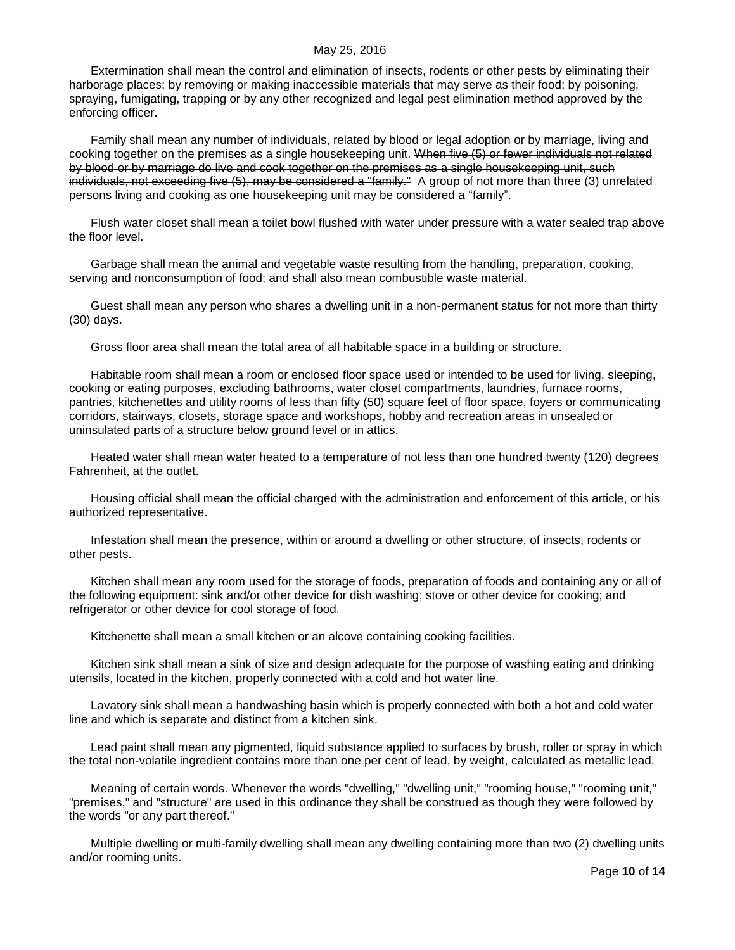Extermination shall mean the control and elimination of insects, rodents or other pests by eliminating their harborage places; by removing or making inaccessible materials that may serve as their food; by poisoning, spraying, fumigating, trapping or by any other recognized and legal pest elimination method approved by the enforcing officer.

Family shall mean any number of individuals, related by blood or legal adoption or by marriage, living and cooking together on the premises as a single housekeeping unit. When five (5) or fewer individuals not related by blood or by marriage do live and cook together on the premises as a single housekeeping unit, such individuals, not exceeding five (5), may be considered a "family." A group of not more than three (3) unrelated persons living and cooking as one housekeeping unit may be considered a "family".

Flush water closet shall mean a toilet bowl flushed with water under pressure with a water sealed trap above the floor level.

Garbage shall mean the animal and vegetable waste resulting from the handling, preparation, cooking, serving and nonconsumption of food; and shall also mean combustible waste material.

Guest shall mean any person who shares a dwelling unit in a non-permanent status for not more than thirty (30) days.

Gross floor area shall mean the total area of all habitable space in a building or structure.

Habitable room shall mean a room or enclosed floor space used or intended to be used for living, sleeping, cooking or eating purposes, excluding bathrooms, water closet compartments, laundries, furnace rooms, pantries, kitchenettes and utility rooms of less than fifty (50) square feet of floor space, foyers or communicating corridors, stairways, closets, storage space and workshops, hobby and recreation areas in unsealed or uninsulated parts of a structure below ground level or in attics.

Heated water shall mean water heated to a temperature of not less than one hundred twenty (120) degrees Fahrenheit, at the outlet.

Housing official shall mean the official charged with the administration and enforcement of this article, or his authorized representative.

Infestation shall mean the presence, within or around a dwelling or other structure, of insects, rodents or other pests.

Kitchen shall mean any room used for the storage of foods, preparation of foods and containing any or all of the following equipment: sink and/or other device for dish washing; stove or other device for cooking; and refrigerator or other device for cool storage of food.

Kitchenette shall mean a small kitchen or an alcove containing cooking facilities.

Kitchen sink shall mean a sink of size and design adequate for the purpose of washing eating and drinking utensils, located in the kitchen, properly connected with a cold and hot water line.

Lavatory sink shall mean a handwashing basin which is properly connected with both a hot and cold water line and which is separate and distinct from a kitchen sink.

Lead paint shall mean any pigmented, liquid substance applied to surfaces by brush, roller or spray in which the total non-volatile ingredient contains more than one per cent of lead, by weight, calculated as metallic lead.

Meaning of certain words. Whenever the words "dwelling," "dwelling unit," "rooming house," "rooming unit," "premises," and "structure" are used in this ordinance they shall be construed as though they were followed by the words "or any part thereof."

Multiple dwelling or multi-family dwelling shall mean any dwelling containing more than two (2) dwelling units and/or rooming units.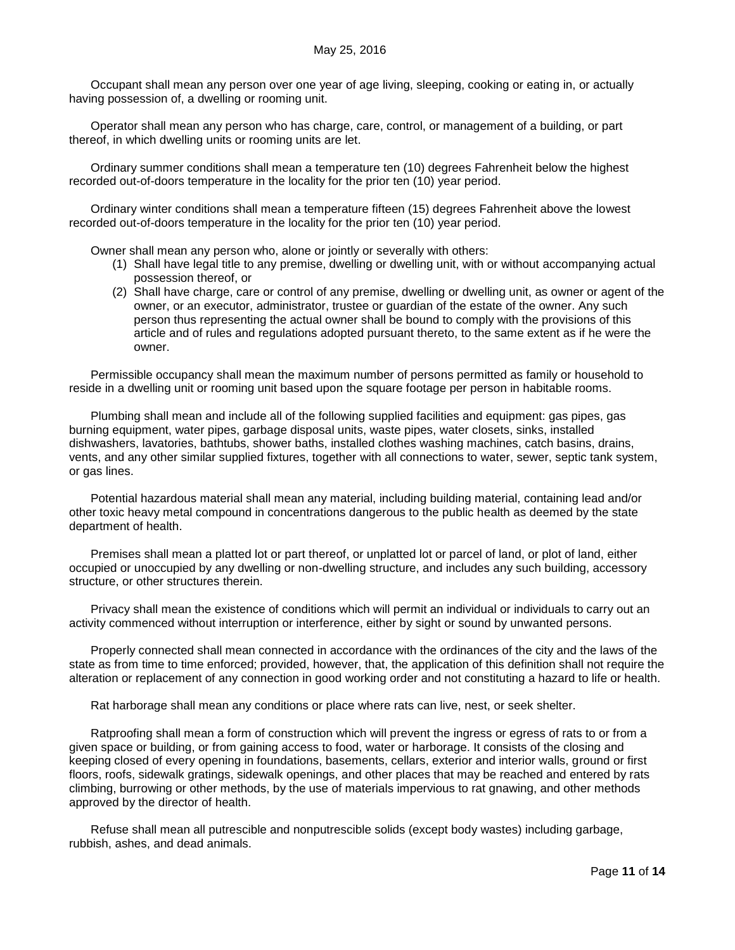Occupant shall mean any person over one year of age living, sleeping, cooking or eating in, or actually having possession of, a dwelling or rooming unit.

Operator shall mean any person who has charge, care, control, or management of a building, or part thereof, in which dwelling units or rooming units are let.

Ordinary summer conditions shall mean a temperature ten (10) degrees Fahrenheit below the highest recorded out-of-doors temperature in the locality for the prior ten (10) year period.

Ordinary winter conditions shall mean a temperature fifteen (15) degrees Fahrenheit above the lowest recorded out-of-doors temperature in the locality for the prior ten (10) year period.

Owner shall mean any person who, alone or jointly or severally with others:

- (1) Shall have legal title to any premise, dwelling or dwelling unit, with or without accompanying actual possession thereof, or
- (2) Shall have charge, care or control of any premise, dwelling or dwelling unit, as owner or agent of the owner, or an executor, administrator, trustee or guardian of the estate of the owner. Any such person thus representing the actual owner shall be bound to comply with the provisions of this article and of rules and regulations adopted pursuant thereto, to the same extent as if he were the owner.

Permissible occupancy shall mean the maximum number of persons permitted as family or household to reside in a dwelling unit or rooming unit based upon the square footage per person in habitable rooms.

Plumbing shall mean and include all of the following supplied facilities and equipment: gas pipes, gas burning equipment, water pipes, garbage disposal units, waste pipes, water closets, sinks, installed dishwashers, lavatories, bathtubs, shower baths, installed clothes washing machines, catch basins, drains, vents, and any other similar supplied fixtures, together with all connections to water, sewer, septic tank system, or gas lines.

Potential hazardous material shall mean any material, including building material, containing lead and/or other toxic heavy metal compound in concentrations dangerous to the public health as deemed by the state department of health.

Premises shall mean a platted lot or part thereof, or unplatted lot or parcel of land, or plot of land, either occupied or unoccupied by any dwelling or non-dwelling structure, and includes any such building, accessory structure, or other structures therein.

Privacy shall mean the existence of conditions which will permit an individual or individuals to carry out an activity commenced without interruption or interference, either by sight or sound by unwanted persons.

Properly connected shall mean connected in accordance with the ordinances of the city and the laws of the state as from time to time enforced; provided, however, that, the application of this definition shall not require the alteration or replacement of any connection in good working order and not constituting a hazard to life or health.

Rat harborage shall mean any conditions or place where rats can live, nest, or seek shelter.

Ratproofing shall mean a form of construction which will prevent the ingress or egress of rats to or from a given space or building, or from gaining access to food, water or harborage. It consists of the closing and keeping closed of every opening in foundations, basements, cellars, exterior and interior walls, ground or first floors, roofs, sidewalk gratings, sidewalk openings, and other places that may be reached and entered by rats climbing, burrowing or other methods, by the use of materials impervious to rat gnawing, and other methods approved by the director of health.

Refuse shall mean all putrescible and nonputrescible solids (except body wastes) including garbage, rubbish, ashes, and dead animals.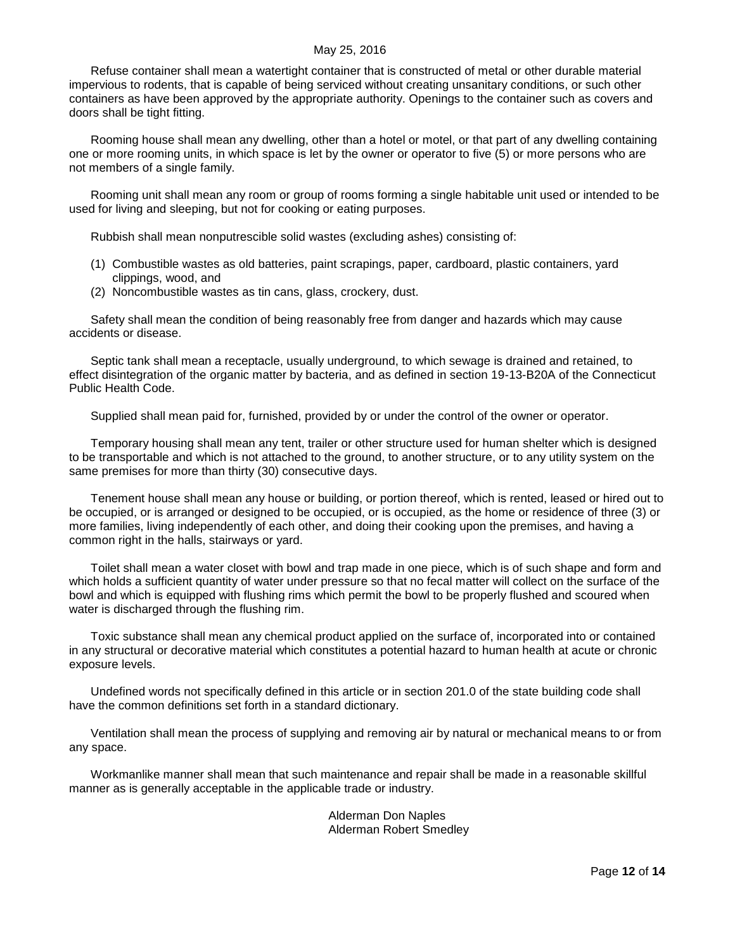Refuse container shall mean a watertight container that is constructed of metal or other durable material impervious to rodents, that is capable of being serviced without creating unsanitary conditions, or such other containers as have been approved by the appropriate authority. Openings to the container such as covers and doors shall be tight fitting.

Rooming house shall mean any dwelling, other than a hotel or motel, or that part of any dwelling containing one or more rooming units, in which space is let by the owner or operator to five (5) or more persons who are not members of a single family.

Rooming unit shall mean any room or group of rooms forming a single habitable unit used or intended to be used for living and sleeping, but not for cooking or eating purposes.

Rubbish shall mean nonputrescible solid wastes (excluding ashes) consisting of:

- (1) Combustible wastes as old batteries, paint scrapings, paper, cardboard, plastic containers, yard clippings, wood, and
- (2) Noncombustible wastes as tin cans, glass, crockery, dust.

Safety shall mean the condition of being reasonably free from danger and hazards which may cause accidents or disease.

Septic tank shall mean a receptacle, usually underground, to which sewage is drained and retained, to effect disintegration of the organic matter by bacteria, and as defined in section 19-13-B20A of the Connecticut Public Health Code.

Supplied shall mean paid for, furnished, provided by or under the control of the owner or operator.

Temporary housing shall mean any tent, trailer or other structure used for human shelter which is designed to be transportable and which is not attached to the ground, to another structure, or to any utility system on the same premises for more than thirty (30) consecutive days.

Tenement house shall mean any house or building, or portion thereof, which is rented, leased or hired out to be occupied, or is arranged or designed to be occupied, or is occupied, as the home or residence of three (3) or more families, living independently of each other, and doing their cooking upon the premises, and having a common right in the halls, stairways or yard.

Toilet shall mean a water closet with bowl and trap made in one piece, which is of such shape and form and which holds a sufficient quantity of water under pressure so that no fecal matter will collect on the surface of the bowl and which is equipped with flushing rims which permit the bowl to be properly flushed and scoured when water is discharged through the flushing rim.

Toxic substance shall mean any chemical product applied on the surface of, incorporated into or contained in any structural or decorative material which constitutes a potential hazard to human health at acute or chronic exposure levels.

Undefined words not specifically defined in this article or in section 201.0 of the state building code shall have the common definitions set forth in a standard dictionary.

Ventilation shall mean the process of supplying and removing air by natural or mechanical means to or from any space.

Workmanlike manner shall mean that such maintenance and repair shall be made in a reasonable skillful manner as is generally acceptable in the applicable trade or industry.

> Alderman Don Naples Alderman Robert Smedley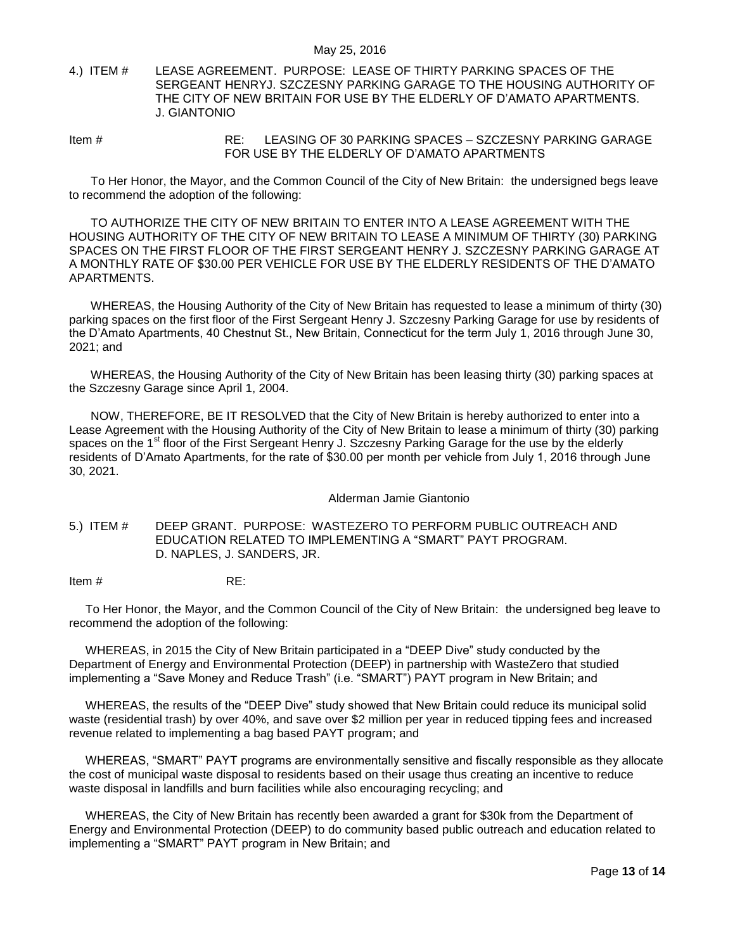<span id="page-12-0"></span>4.) ITEM # LEASE AGREEMENT. PURPOSE: LEASE OF THIRTY PARKING SPACES OF THE SERGEANT HENRYJ. SZCZESNY PARKING GARAGE TO THE HOUSING AUTHORITY OF THE CITY OF NEW BRITAIN FOR USE BY THE ELDERLY OF D'AMATO APARTMENTS. J. GIANTONIO

Item # RE: LEASING OF 30 PARKING SPACES – SZCZESNY PARKING GARAGE FOR USE BY THE ELDERLY OF D'AMATO APARTMENTS

To Her Honor, the Mayor, and the Common Council of the City of New Britain: the undersigned begs leave to recommend the adoption of the following:

TO AUTHORIZE THE CITY OF NEW BRITAIN TO ENTER INTO A LEASE AGREEMENT WITH THE HOUSING AUTHORITY OF THE CITY OF NEW BRITAIN TO LEASE A MINIMUM OF THIRTY (30) PARKING SPACES ON THE FIRST FLOOR OF THE FIRST SERGEANT HENRY J. SZCZESNY PARKING GARAGE AT A MONTHLY RATE OF \$30.00 PER VEHICLE FOR USE BY THE ELDERLY RESIDENTS OF THE D'AMATO APARTMENTS.

WHEREAS, the Housing Authority of the City of New Britain has requested to lease a minimum of thirty (30) parking spaces on the first floor of the First Sergeant Henry J. Szczesny Parking Garage for use by residents of the D'Amato Apartments, 40 Chestnut St., New Britain, Connecticut for the term July 1, 2016 through June 30, 2021; and

WHEREAS, the Housing Authority of the City of New Britain has been leasing thirty (30) parking spaces at the Szczesny Garage since April 1, 2004.

NOW, THEREFORE, BE IT RESOLVED that the City of New Britain is hereby authorized to enter into a Lease Agreement with the Housing Authority of the City of New Britain to lease a minimum of thirty (30) parking spaces on the 1<sup>st</sup> floor of the First Sergeant Henry J. Szczesny Parking Garage for the use by the elderly residents of D'Amato Apartments, for the rate of \$30.00 per month per vehicle from July 1, 2016 through June 30, 2021.

Alderman Jamie Giantonio

<span id="page-12-1"></span>5.) ITEM # DEEP GRANT. PURPOSE: WASTEZERO TO PERFORM PUBLIC OUTREACH AND EDUCATION RELATED TO IMPLEMENTING A "SMART" PAYT PROGRAM. D. NAPLES, J. SANDERS, JR.

Item # RE:

To Her Honor, the Mayor, and the Common Council of the City of New Britain: the undersigned beg leave to recommend the adoption of the following:

WHEREAS, in 2015 the City of New Britain participated in a "DEEP Dive" study conducted by the Department of Energy and Environmental Protection (DEEP) in partnership with WasteZero that studied implementing a "Save Money and Reduce Trash" (i.e. "SMART") PAYT program in New Britain; and

WHEREAS, the results of the "DEEP Dive" study showed that New Britain could reduce its municipal solid waste (residential trash) by over 40%, and save over \$2 million per year in reduced tipping fees and increased revenue related to implementing a bag based PAYT program; and

WHEREAS, "SMART" PAYT programs are environmentally sensitive and fiscally responsible as they allocate the cost of municipal waste disposal to residents based on their usage thus creating an incentive to reduce waste disposal in landfills and burn facilities while also encouraging recycling; and

WHEREAS, the City of New Britain has recently been awarded a grant for \$30k from the Department of Energy and Environmental Protection (DEEP) to do community based public outreach and education related to implementing a "SMART" PAYT program in New Britain; and